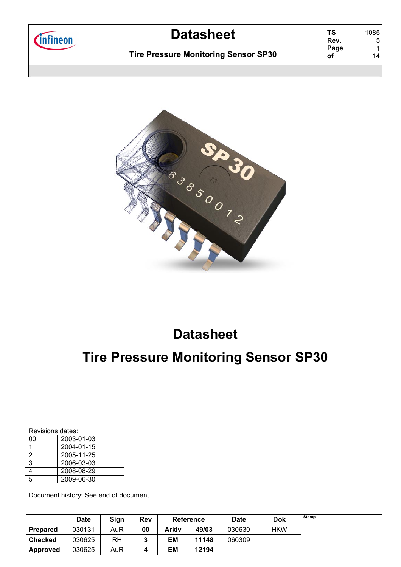| l <b>fineon</b> | <b>Datasheet</b>                            | ΤS<br>Rev. | 1085<br>5 |
|-----------------|---------------------------------------------|------------|-----------|
|                 | <b>Tire Pressure Monitoring Sensor SP30</b> | Page<br>оf | 14        |
|                 |                                             |            |           |



# **Datasheet**

# **Tire Pressure Monitoring Sensor SP30**

| Revisions dates: |  |
|------------------|--|
|                  |  |

| 00 | 2003-01-03 |
|----|------------|
|    | 2004-01-15 |
| 2  | 2005-11-25 |
| 3  | 2006-03-03 |
| 1  | 2008-08-29 |
| 5  | 2009-06-30 |

Document history: See end of document

|                 | Date   | Sign | <b>Rev</b> | <b>Reference</b> |       | <b>Date</b> | <b>Dok</b> | Stamp |
|-----------------|--------|------|------------|------------------|-------|-------------|------------|-------|
| <b>Prepared</b> | 030131 | AuR  | 00         | Arkiv            | 49/03 | 030630      | HKW        |       |
| <b>Checked</b>  | 030625 | RH   |            | ЕM               | 11148 | 060309      |            |       |
| Approved        | 030625 | AuR  |            | ΕM               | 12194 |             |            |       |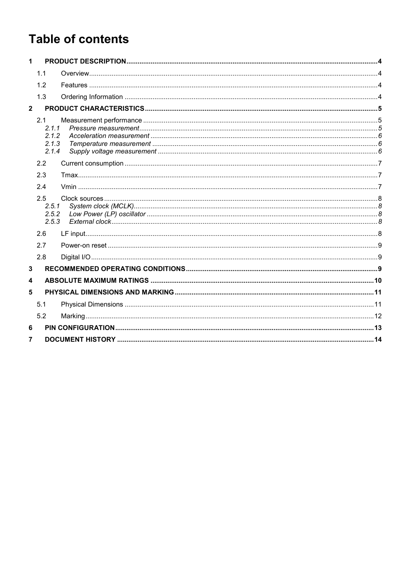# **Table of contents**

| $\mathbf 1$    |                                |  |
|----------------|--------------------------------|--|
|                | 1.1                            |  |
|                | 1.2                            |  |
|                | 1.3                            |  |
| $\overline{2}$ |                                |  |
|                | 2.1<br>2.1.1                   |  |
|                | 2.1.2                          |  |
|                | 2.1.3                          |  |
|                | 2.1.4                          |  |
|                | 2.2                            |  |
|                | 2.3                            |  |
|                | 2.4                            |  |
|                | 2.5<br>2.5.1<br>2.5.2<br>2.5.3 |  |
|                | 2.6                            |  |
|                | 2.7                            |  |
|                | 2.8                            |  |
| 3              |                                |  |
| 4              |                                |  |
| 5              |                                |  |
|                | 5.1                            |  |
|                | 5.2                            |  |
| 6              |                                |  |
| 7              |                                |  |
|                |                                |  |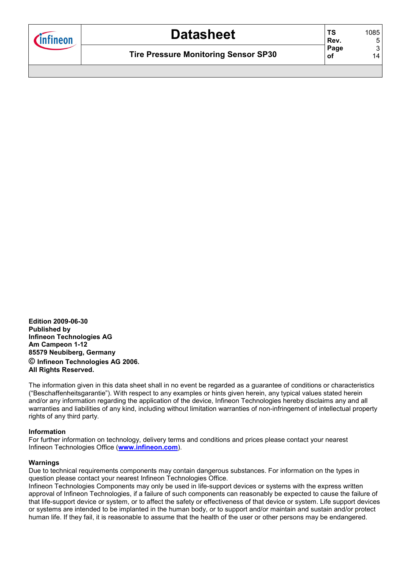| <b>T</b> nfineon | <b>Datasheet</b>                            | ΤS<br>Rev. | 1085<br>5 |
|------------------|---------------------------------------------|------------|-----------|
|                  | <b>Tire Pressure Monitoring Sensor SP30</b> | Page<br>оf | 3<br>14   |
|                  |                                             |            |           |

**Edition 2009-06-30 Published by Infineon Technologies AG Am Campeon 1-12 85579 Neubiberg, Germany © Infineon Technologies AG 2006. All Rights Reserved.** 

The information given in this data sheet shall in no event be regarded as a guarantee of conditions or characteristics ("Beschaffenheitsgarantie"). With respect to any examples or hints given herein, any typical values stated herein and/or any information regarding the application of the device, Infineon Technologies hereby disclaims any and all warranties and liabilities of any kind, including without limitation warranties of non-infringement of intellectual property rights of any third party.

#### **Information**

For further information on technology, delivery terms and conditions and prices please contact your nearest Infineon Technologies Office (**www.infineon.com**).

#### **Warnings**

Due to technical requirements components may contain dangerous substances. For information on the types in question please contact your nearest Infineon Technologies Office.

Infineon Technologies Components may only be used in life-support devices or systems with the express written approval of Infineon Technologies, if a failure of such components can reasonably be expected to cause the failure of that life-support device or system, or to affect the safety or effectiveness of that device or system. Life support devices or systems are intended to be implanted in the human body, or to support and/or maintain and sustain and/or protect human life. If they fail, it is reasonable to assume that the health of the user or other persons may be endangered.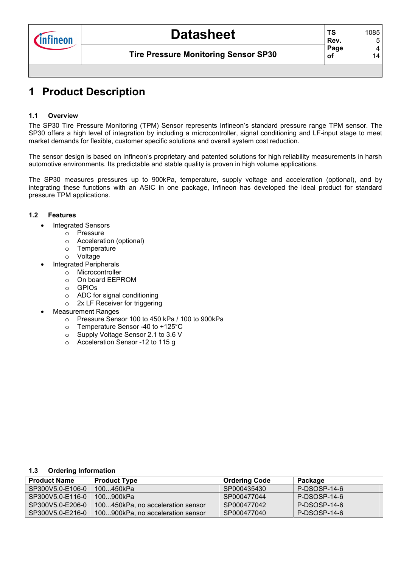# **1 Product Description**

### **1.1 Overview**

The SP30 Tire Pressure Monitoring (TPM) Sensor represents Infineon's standard pressure range TPM sensor. The SP30 offers a high level of integration by including a microcontroller, signal conditioning and LF-input stage to meet market demands for flexible, customer specific solutions and overall system cost reduction.

The sensor design is based on Infineon's proprietary and patented solutions for high reliability measurements in harsh automotive environments. Its predictable and stable quality is proven in high volume applications.

The SP30 measures pressures up to 900kPa, temperature, supply voltage and acceleration (optional), and by integrating these functions with an ASIC in one package, Infineon has developed the ideal product for standard pressure TPM applications.

#### **1.2 Features**

- Integrated Sensors
	- o Pressure
	- o Acceleration (optional)
	- o Temperature
	- o Voltage
- Integrated Peripherals
	- o Microcontroller
	- o On board EEPROM
	- o GPIOs
	- o ADC for signal conditioning
	- o 2x LF Receiver for triggering
- Measurement Ranges
	- o Pressure Sensor 100 to 450 kPa / 100 to 900kPa
	- o Temperature Sensor -40 to +125°C
	- o Supply Voltage Sensor 2.1 to 3.6 V
	- o Acceleration Sensor -12 to 115 g

#### **1.3 Ordering Information**

| <b>Product Name</b> | <b>Product Type</b>               | <b>Ordering Code</b> | Package      |
|---------------------|-----------------------------------|----------------------|--------------|
| SP300V5.0-E106-0    | 100…450kPa                        | SP000435430          | P-DSOSP-14-6 |
| SP300V5.0-E116-0    | 100900kPa                         | SP000477044          | P-DSOSP-14-6 |
| SP300V5.0-E206-0    | 100450kPa, no acceleration sensor | SP000477042          | P-DSOSP-14-6 |
| SP300V5.0-E216-0    | 100900kPa, no acceleration sensor | SP000477040          | P-DSOSP-14-6 |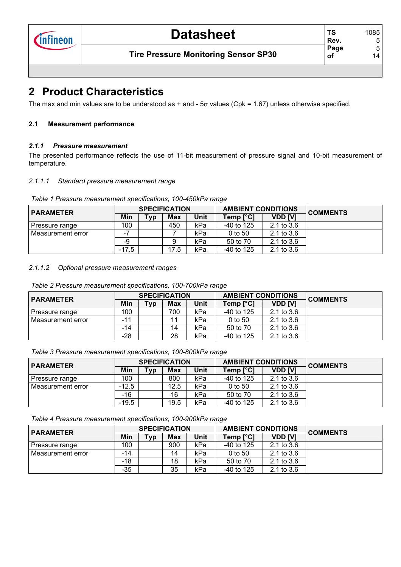**TS** 

**of** 

### **2 Product Characteristics**

The max and min values are to be understood as  $+$  and -  $5\sigma$  values (Cpk = 1.67) unless otherwise specified.

### **2.1 Measurement performance**

### *2.1.1 Pressure measurement*

The presented performance reflects the use of 11-bit measurement of pressure signal and 10-bit measurement of temperature.

#### *2.1.1.1 Standard pressure measurement range*

| Table 1 Pressure measurement specifications, 100-450kPa range |  |  |  |  |  |  |  |
|---------------------------------------------------------------|--|--|--|--|--|--|--|
|---------------------------------------------------------------|--|--|--|--|--|--|--|

| <b>PARAMETER</b>  |         |            | <b>SPECIFICATION</b> |             | <b>AMBIENT CONDITIONS</b> |                | <b>COMMENTS</b> |
|-------------------|---------|------------|----------------------|-------------|---------------------------|----------------|-----------------|
|                   | Min     | <b>Typ</b> | Max                  | <b>Unit</b> | Temp [°C]                 | <b>VDD [V]</b> |                 |
| Pressure range    | 100     |            | 450                  | kPa         | $-40$ to 125              | $2.1$ to $3.6$ |                 |
| Measurement error | - 1     |            |                      | kPa         | $0$ to 50                 | $2.1$ to $3.6$ |                 |
|                   | -9      |            |                      | kPa         | 50 to 70                  | $2.1$ to $3.6$ |                 |
|                   | $-17.5$ |            | 17.5                 | kPa         | $-40$ to 125              | $2.1$ to $3.6$ |                 |

#### *2.1.1.2 Optional pressure measurement ranges*

*Table 2 Pressure measurement specifications, 100-700kPa range*

| <b>PARAMETER</b>  |     |     | <b>SPECIFICATION</b> |      | <b>AMBIENT CONDITIONS</b> |                | <b>COMMENTS</b> |
|-------------------|-----|-----|----------------------|------|---------------------------|----------------|-----------------|
|                   | Min | Typ | Max                  | Unit | Temp [°C]                 | <b>VDD [V]</b> |                 |
| Pressure range    | 100 |     | 700                  | kPa  | $-40$ to 125              | $2.1$ to $3.6$ |                 |
| Measurement error | -11 |     |                      | kPa  | $0$ to 50                 | 2.1 to $3.6$   |                 |
|                   | -14 |     | 14                   | kPa  | 50 to 70                  | $2.1$ to $3.6$ |                 |
|                   | -28 |     | 28                   | kPa  | $-40$ to 125              | $2.1$ to $3.6$ |                 |

*Table 3 Pressure measurement specifications, 100-800kPa range* 

| <b>PARAMETER</b>  |         |     | <b>SPECIFICATION</b> |      | <b>AMBIENT CONDITIONS</b> |                | <b>COMMENTS</b> |
|-------------------|---------|-----|----------------------|------|---------------------------|----------------|-----------------|
|                   | Min     | Typ | <b>Max</b>           | Unit | Temp $[^{\circ}C]$        | <b>VDD [V]</b> |                 |
| Pressure range    | 100     |     | 800                  | kPa  | $-40$ to 125              | $2.1$ to $3.6$ |                 |
| Measurement error | $-12.5$ |     | 12.5                 | kPa  | $0$ to 50                 | $2.1$ to $3.6$ |                 |
|                   | $-16$   |     | 16                   | kPa  | 50 to 70                  | 2.1 to $3.6$   |                 |
|                   | $-19.5$ |     | 19.5                 | kPa  | $-40$ to 125              | $2.1$ to $3.6$ |                 |

*Table 4 Pressure measurement specifications, 100-900kPa range* 

| <b>PARAMETER</b>    |       |     | <b>SPECIFICATION</b> |      | <b>AMBIENT CONDITIONS</b> |                | <b>COMMENTS</b> |
|---------------------|-------|-----|----------------------|------|---------------------------|----------------|-----------------|
|                     | Min   | Typ | Max                  | Unit | Temp $[°C]$               | <b>VDD [V]</b> |                 |
| Pressure range      | 100   |     | 900                  | kPa  | $-40$ to 125              | 2.1 to $3.6$   |                 |
| l Measurement error | -14   |     | 14                   | kPa  | $0$ to 50                 | $2.1$ to $3.6$ |                 |
|                     | $-18$ |     | 18                   | kPa  | 50 to 70                  | $2.1$ to $3.6$ |                 |
|                     | $-35$ |     | 35                   | kPa  | $-40$ to 125              | $2.1$ to $3.6$ |                 |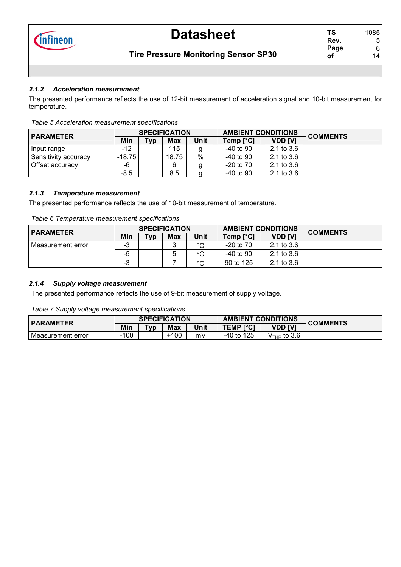### *2.1.2 Acceleration measurement*

The presented performance reflects the use of 12-bit measurement of acceleration signal and 10-bit measurement for temperature.

| <b>PARAMETER</b>     |        |     | <b>SPECIFICATION</b> |      | <b>AMBIENT CONDITIONS</b> |                | <b>COMMENTS</b> |  |  |
|----------------------|--------|-----|----------------------|------|---------------------------|----------------|-----------------|--|--|
|                      | Min    | Typ | Max                  | Unit | Temp [°C]                 | VDD [V]        |                 |  |  |
| Input range          | -12    |     | 115                  |      | -40 to 90                 | $2.1$ to $3.6$ |                 |  |  |
| Sensitivity accuracy | -18.75 |     | 18.75                | %    | $-40$ to 90               | $2.1$ to $3.6$ |                 |  |  |
| Offset accuracy      | -6     |     |                      | a    | $-20$ to $70$             | $2.1$ to $3.6$ |                 |  |  |
|                      | $-8.5$ |     | 8.5                  |      | $-40$ to 90               | $2.1$ to $3.6$ |                 |  |  |

*Table 5 Acceleration measurement specifications*

### *2.1.3 Temperature measurement*

The presented performance reflects the use of 10-bit measurement of temperature.

| Table 6 Temperature measurement specifications |
|------------------------------------------------|
|------------------------------------------------|

| <b>PARAMETER</b>    |     |         | <b>SPECIFICATION</b> |         | <b>AMBIENT CONDITIONS</b> |                | <b>COMMENTS</b> |
|---------------------|-----|---------|----------------------|---------|---------------------------|----------------|-----------------|
|                     | Min | $T_V p$ | <b>Max</b>           | Unit    | Temp [°C]                 | <b>VDD [V]</b> |                 |
| l Measurement error | -3  |         | 0                    | $\sim$  | $-20$ to $70$             | $2.1$ to $3.6$ |                 |
|                     | -5  |         |                      | $\circ$ | $-40$ to $90$             | $2.1$ to $3.6$ |                 |
|                     | -3  |         |                      | $\circ$ | 90 to 125                 | $2.1$ to $3.6$ |                 |

#### *2.1.4 Supply voltage measurement*

The presented performance reflects the use of 9-bit measurement of supply voltage.

*Table 7 Supply voltage measurement specifications*

| <b>PARAMETER</b>  |     |                  | <b>SPECIFICATION</b> |      | <b>AMBIENT CONDITIONS</b> |                   | <b>COMMENTS</b> |
|-------------------|-----|------------------|----------------------|------|---------------------------|-------------------|-----------------|
|                   | Min | T <sub>V</sub> p | <b>Max</b>           | Unit | <b>TEMP [°C]</b>          | TV1<br><b>VDD</b> |                 |
| Measurement error | 100 |                  | 100-                 | mV   | -40 to 125                | $VTHR$ to 3.6     |                 |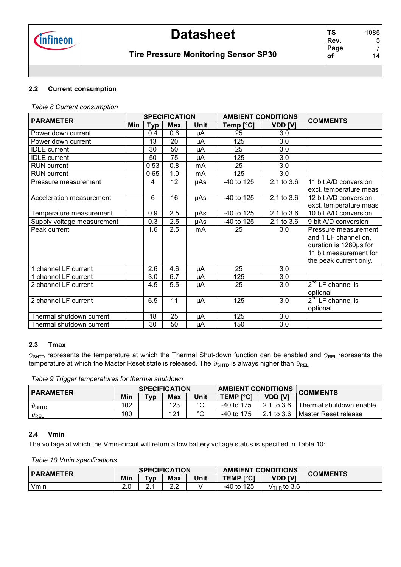# **Datasheet**

### **Tire Pressure Monitoring Sensor SP30**

**TS Rev. Page of** 

### **2.2 Current consumption**

*Table 8 Current consumption*

| <b>PARAMETER</b>           |            |            | <b>SPECIFICATION</b> |      | <b>AMBIENT CONDITIONS</b> |                  | <b>COMMENTS</b>        |
|----------------------------|------------|------------|----------------------|------|---------------------------|------------------|------------------------|
|                            | <b>Min</b> | <b>Typ</b> | <b>Max</b>           | Unit | Temp [°C]                 | <b>VDD [V]</b>   |                        |
| Power down current         |            | 0.4        | 0.6                  | μA   | 25                        | 3.0              |                        |
| Power down current         |            | 13         | 20                   | μA   | 125                       | 3.0              |                        |
| <b>IDLE</b> current        |            | 30         | 50                   | μA   | 25                        | 3.0              |                        |
| <b>IDLE</b> current        |            | 50         | $\overline{75}$      | μA   | 125                       | 3.0              |                        |
| <b>RUN</b> current         |            | 0.53       | 0.8                  | mA   | 25                        | 3.0              |                        |
| <b>RUN</b> current         |            | 0.65       | 1.0                  | mA   | 125                       | 3.0              |                        |
| Pressure measurement       |            | 4          | 12                   | µAs  | -40 to 125                | 2.1 to 3.6       | 11 bit A/D conversion, |
|                            |            |            |                      |      |                           |                  | excl. temperature meas |
| Acceleration measurement   |            | 6          | 16                   | µAs  | -40 to 125                | 2.1 to 3.6       | 12 bit A/D conversion, |
|                            |            |            |                      |      |                           |                  | excl. temperature meas |
| Temperature measurement    |            | 0.9        | 2.5                  | μAs  | -40 to 125                | 2.1 to 3.6       | 10 bit A/D conversion  |
| Supply voltage measurement |            | 0.3        | 2.5                  | μAs  | $-40$ to 125              | $2.1$ to $3.6$   | 9 bit A/D conversion   |
| Peak current               |            | 1.6        | 2.5                  | mA   | 25                        | 3.0              | Pressure measurement   |
|                            |            |            |                      |      |                           |                  | and 1 LF channel on,   |
|                            |            |            |                      |      |                           |                  | duration is 1280us for |
|                            |            |            |                      |      |                           |                  | 11 bit measurement for |
|                            |            |            |                      |      |                           |                  | the peak current only. |
| 1 channel LF current       |            | 2.6        | 4.6                  | μA   | 25                        | 3.0              |                        |
| channel LF current         |            | 3.0        | 6.7                  | μA   | 125                       | 3.0              |                        |
| 2 channel LF current       |            | 4.5        | 5.5                  | μA   | 25                        | 3.0              | $2^{nd}$ LF channel is |
|                            |            |            |                      |      |                           |                  | optional               |
| 2 channel LF current       |            | 6.5        | 11                   | μA   | 125                       | $\overline{3.0}$ | $2nd$ LF channel is    |
|                            |            |            |                      |      |                           |                  | optional               |
| Thermal shutdown current   |            | 18         | 25                   | μA   | 125                       | 3.0              |                        |
| Thermal shutdown current   |            | 30         | 50                   | μA   | 150                       | 3.0              |                        |

#### **2.3 Tmax**

 $\vartheta_{\text{SHTD}}$  represents the temperature at which the Thermal Shut-down function can be enabled and  $\vartheta_{\text{REL}}$  represents the temperature at which the Master Reset state is released. The  $\vartheta_{\text{SHTD}}$  is always higher than  $\vartheta_{\text{REL}}$ .

*Table 9 Trigger temperatures for thermal shutdown*

| <b>PARAMETER</b>           |     | <b>SPECIFICATION</b> |     |        | <b>AMBIENT CONDITIONS</b> |                | <b>COMMENTS</b>           |
|----------------------------|-----|----------------------|-----|--------|---------------------------|----------------|---------------------------|
|                            | Min | ™ур                  | Max | Unit   | <b>TEMP [°C]</b>          | <b>VDD [V]</b> |                           |
| $\vartheta$ SHTD           | 102 |                      | 123 | $\sim$ | $-40$ to 175              | 2.1 to 3.6     | l Thermal shutdown enable |
| $\vartheta_{\mathsf{REL}}$ | 100 |                      | 121 | $\sim$ | $-40$ to 175              | 2.1 to 3.6     | I Master Reset release    |

#### **2.4 Vmin**

The voltage at which the Vmin-circuit will return a low battery voltage status is specified in Table 10:

*Table 10 Vmin specifications*

| <b>PARAMETER</b> |           |         | <b>SPECIFICATION</b> |      | <b>AMBIENT CONDITIONS</b> |               | <b>COMMENTS</b> |
|------------------|-----------|---------|----------------------|------|---------------------------|---------------|-----------------|
|                  | Min       | $T_V p$ | <b>Max</b>           | Unit | <b>TEMP [°C]</b>          | TV1<br>VDD    |                 |
| Vmin             | ົດ<br>z.u |         | <u>ົ</u><br>L.L      |      | -40 to 125                | $VTHR$ to 3.6 |                 |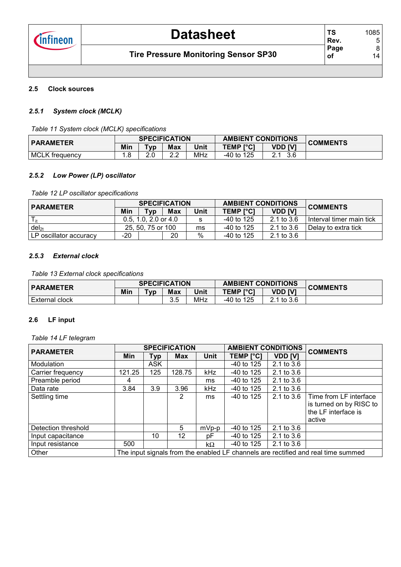#### **2.5 Clock sources**

#### *2.5.1 System clock (MCLK)*

*Table 11 System clock (MCLK) specifications*

| <b>PARAMETER</b>      |       | <b>SPECIFICATION</b> |                          |            | <b>AMBIENT CONDITIONS</b> |         | <b>COMMENTS</b> |
|-----------------------|-------|----------------------|--------------------------|------------|---------------------------|---------|-----------------|
|                       | Min   | [vp                  | <b>Max</b>               | Unit       | <b>TEMP [°C]</b>          | VDD [V] |                 |
| <b>MCLK</b> frequency | . . ٥ | ົດ<br>ے.             | <u>^</u> ^<br><u>L.L</u> | <b>MHz</b> | $-40$ to 125              | 3.6     |                 |

#### *2.5.2 Low Power (LP) oscillator*

*Table 12 LP oscillator specifications*

| <b>PARAMETER</b>       |                   | <b>SPECIFICATION</b>     |            |      | <b>AMBIENT CONDITIONS</b> |                | <b>COMMENTS</b>            |  |
|------------------------|-------------------|--------------------------|------------|------|---------------------------|----------------|----------------------------|--|
|                        | Min               | Typ                      | <b>Max</b> | Unit | <b>TEMP PCI</b>           | <b>VDD [V]</b> |                            |  |
|                        |                   | $0.5, 1.0, 2.0$ or $4.0$ |            | s    | -40 to 125                | 2.1 to $3.6$   | I Interval timer main tick |  |
| $del_{2t}$             | 25, 50, 75 or 100 |                          |            | ms   | -40 to 125                | 2.1 to 3.6     | l Delav to extra tick      |  |
| LP oscillator accuracy | -20               |                          | 20         | %    | $-40$ to 125              | 2.1 to 3.6     |                            |  |

#### *2.5.3 External clock*

*Table 13 External clock specifications*

| <b>PARAMETER</b>      |     |         | <b>SPECIFICATION</b> |            | <b>AMBIENT CONDITIONS</b> |                | <b>COMMENTS</b> |
|-----------------------|-----|---------|----------------------|------------|---------------------------|----------------|-----------------|
|                       | Min | $T_V p$ | <b>Max</b>           | Unit       | <b>TEMP I°C1</b>          | <b>VDD [V]</b> |                 |
| <b>External clock</b> |     |         | $\sim$ $\sim$<br>ບ.ບ | <b>MHz</b> | $-40$ to 125              | 1 to 3.6       |                 |

#### **2.6 LF input**

*Table 14 LF telegram*

| <b>PARAMETER</b>    |        |            | <b>SPECIFICATION</b> |             | <b>AMBIENT CONDITIONS</b> |                | <b>COMMENTS</b>                                                                    |
|---------------------|--------|------------|----------------------|-------------|---------------------------|----------------|------------------------------------------------------------------------------------|
|                     | Min    | Typ        | <b>Max</b>           | <b>Unit</b> | TEMP [°C]                 | <b>VDD [V]</b> |                                                                                    |
| Modulation          |        | <b>ASK</b> |                      |             | $-40$ to 125              | $2.1$ to $3.6$ |                                                                                    |
| Carrier frequency   | 121.25 | 125        | 128.75               | kHz         | $-40$ to 125              | $2.1$ to $3.6$ |                                                                                    |
| Preamble period     | 4      |            |                      | ms          | $-40$ to 125              | 2.1 to 3.6     |                                                                                    |
| Data rate           | 3.84   | 3.9        | 3.96                 | <b>kHz</b>  | $-40$ to 125              | $2.1$ to $3.6$ |                                                                                    |
| Settling time       |        |            | 2                    | ms          | $-40$ to 125              | $2.1$ to $3.6$ | Time from LF interface<br>is turned on by RISC to<br>the LF interface is<br>active |
| Detection threshold |        |            | 5                    | $mVp-p$     | $-40$ to 125              | 2.1 to $3.6$   |                                                                                    |
| Input capacitance   |        | 10         | $12 \overline{ }$    | рF          | $-40$ to 125              | $2.1$ to $3.6$ |                                                                                    |
| Input resistance    | 500    |            |                      | $k\Omega$   | $-40$ to 125              | $2.1$ to $3.6$ |                                                                                    |
| Other               |        |            |                      |             |                           |                | The input signals from the enabled LF channels are rectified and real time summed  |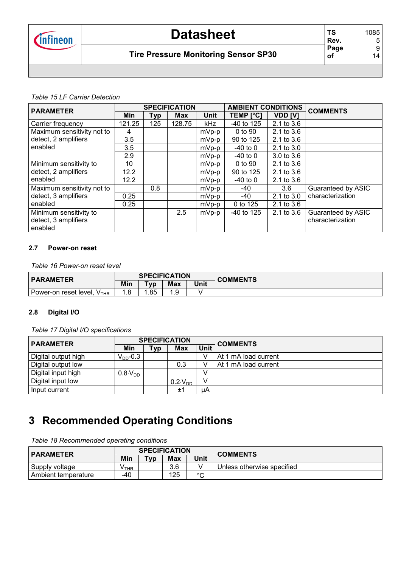# **Datasheet**

### **Tire Pressure Monitoring Sensor SP30**

#### *Table 15 LF Carrier Detection*

| <b>PARAMETER</b>                |        |     | <b>SPECIFICATION</b> |             | <b>AMBIENT CONDITIONS</b> |                | <b>COMMENTS</b>    |
|---------------------------------|--------|-----|----------------------|-------------|---------------------------|----------------|--------------------|
|                                 | Min    | Тур | <b>Max</b>           | <b>Unit</b> | <b>TEMP [°C]</b>          | VDD [V]        |                    |
| Carrier frequency               | 121.25 | 125 | 128.75               | kHz         | -40 to 125                | 2.1 to 3.6     |                    |
| Maximum sensitivity not to      | 4      |     |                      | $mVp-p$     | 0 to 90                   | 2.1 to 3.6     |                    |
| detect, 2 amplifiers            | 3.5    |     |                      | $mVp-p$     | 90 to 125                 | 2.1 to 3.6     |                    |
| enabled                         | 3.5    |     |                      | mVp-p       | $-40$ to 0                | $2.1$ to $3.0$ |                    |
|                                 | 2.9    |     |                      | mVp-p       | $-40$ to 0                | 3.0 to 3.6     |                    |
| Minimum sensitivity to          | 10     |     |                      | $mVp-p$     | 0 to 90                   | $2.1$ to $3.6$ |                    |
| detect, 2 amplifiers            | 12.2   |     |                      | $mVp-p$     | 90 to 125                 | 2.1 to 3.6     |                    |
| enabled                         | 12.2   |     |                      | mVp-p       | $-40$ to 0                | 2.1 to 3.6     |                    |
| Maximum sensitivity not to      |        | 0.8 |                      | $mVp-p$     | -40                       | 3.6            | Guaranteed by ASIC |
| detect, 3 amplifiers            | 0.25   |     |                      | $mVp-p$     | -40                       | $2.1$ to $3.0$ | characterization   |
| enabled                         | 0.25   |     |                      | $mVp-p$     | 0 to 125                  | 2.1 to 3.6     |                    |
| Minimum sensitivity to          |        |     | 2.5                  | $mVp-p$     | $-40$ to 125              | 2.1 to 3.6     | Guaranteed by ASIC |
| detect, 3 amplifiers<br>enabled |        |     |                      |             |                           |                | characterization   |

#### **2.7 Power-on reset**

*Table 16 Power-on reset level*

| <b>PARAMETER</b>                        |     | <b>SPECIFICATION</b> |            |      | <b>COMMENTS</b> |
|-----------------------------------------|-----|----------------------|------------|------|-----------------|
|                                         | Min | T <sub>vn</sub>      | <b>Max</b> | Unit |                 |
| Power-on reset level, Y<br><b>V</b> THR | 0   | .85                  |            |      |                 |

#### **2.8 Digital I/O**

*Table 17 Digital I/O specifications*

| <b>PARAMETER</b>    |                   |            | <b>SPECIFICATION</b> |      | <b>COMMENTS</b>      |
|---------------------|-------------------|------------|----------------------|------|----------------------|
|                     | Min               | <b>Typ</b> | Max                  | Unit |                      |
| Digital output high | $V_{DD}$ -0.3     |            |                      |      | At 1 mA load current |
| Digital output low  |                   |            | 0.3                  |      | At 1 mA load current |
| Digital input high  | $0.8\cdot V_{DD}$ |            |                      |      |                      |
| Digital input low   |                   |            | $0.2 \, V_{DD}$      |      |                      |
| Input current       |                   |            | ±1                   | μA   |                      |

### **3 Recommended Operating Conditions**

*Table 18 Recommended operating conditions*

| <b>PARAMETER</b>      |       |                           | <b>SPECIFICATION</b> |              | <b>COMMENTS</b>            |
|-----------------------|-------|---------------------------|----------------------|--------------|----------------------------|
|                       | Min   | $\mathsf{v}_{\mathsf{V}}$ | Max                  | Unit         |                            |
| Supply voltage        | V THR |                           | 3.6                  |              | Unless otherwise specified |
| l Ambient temperature | -40   |                           | 125                  | $\circ$<br>ີ |                            |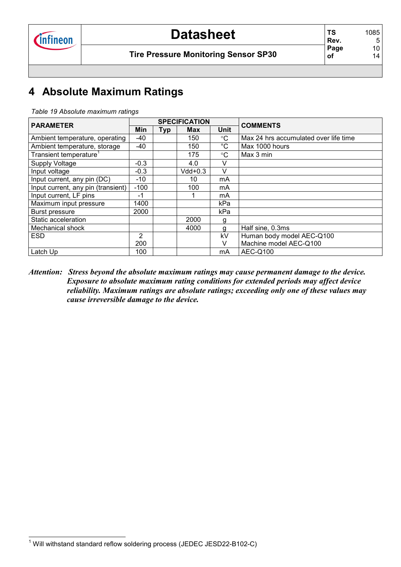# **4 Absolute Maximum Ratings**

| <b>PARAMETER</b>                   |                   |  | <b>SPECIFICATION</b> |                 | <b>COMMENTS</b>                       |  |
|------------------------------------|-------------------|--|----------------------|-----------------|---------------------------------------|--|
|                                    | <b>Min</b><br>Typ |  | <b>Max</b>           | <b>Unit</b>     |                                       |  |
| Ambient temperature, operating     | -40               |  | 150                  | $^{\circ}C$     | Max 24 hrs accumulated over life time |  |
| Ambient temperature, storage       | -40               |  | 150                  | $^{\circ}C$     | Max 1000 hours                        |  |
| Transient temperature <sup>1</sup> |                   |  | 175                  | $\rm ^{\circ}C$ | Max 3 min                             |  |
| Supply Voltage                     | $-0.3$            |  | 4.0                  | V               |                                       |  |
| Input voltage                      | $-0.3$            |  | $Vdd+0.3$            | $\vee$          |                                       |  |
| Input current, any pin (DC)        | -10               |  | 10                   | mA              |                                       |  |
| Input current, any pin (transient) | $-100$            |  | 100                  | mA              |                                       |  |
| Input current, LF pins             | $-1$              |  |                      | mA              |                                       |  |
| Maximum input pressure             | 1400              |  |                      | kPa             |                                       |  |
| Burst pressure                     | 2000              |  |                      | kPa             |                                       |  |
| Static acceleration                |                   |  | 2000                 | g               |                                       |  |
| Mechanical shock                   |                   |  | 4000                 | g               | Half sine, 0.3ms                      |  |
| <b>ESD</b>                         | 2                 |  |                      | kV              | Human body model AEC-Q100             |  |
|                                    | 200               |  |                      | $\vee$          | Machine model AEC-Q100                |  |
| Latch Up                           | 100               |  |                      | mA              | AEC-Q100                              |  |

*Attention: Stress beyond the absolute maximum ratings may cause permanent damage to the device. Exposure to absolute maximum rating conditions for extended periods may affect device reliability. Maximum ratings are absolute ratings; exceeding only one of these values may cause irreversible damage to the device.* 

<sup>1&</sup>lt;br><sup>1</sup> Will withstand standard reflow soldering process (JEDEC JESD22-B102-C)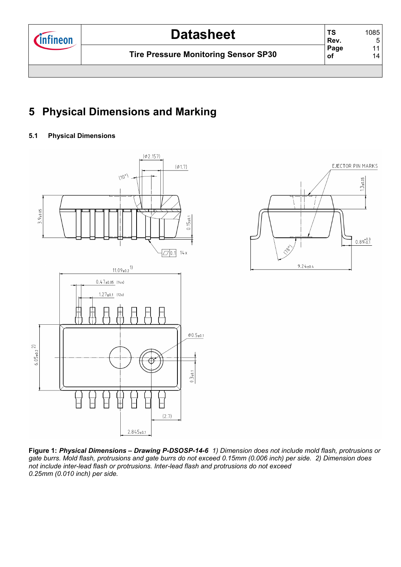# **5 Physical Dimensions and Marking**

### **5.1 Physical Dimensions**





**Figure 1:** *Physical Dimensions – Drawing P-DSOSP-14-6 1) Dimension does not include mold flash, protrusions or gate burrs. Mold flash, protrusions and gate burrs do not exceed 0.15mm (0.006 inch) per side. 2) Dimension does not include inter-lead flash or protrusions. Inter-lead flash and protrusions do not exceed 0.25mm (0.010 inch) per side.*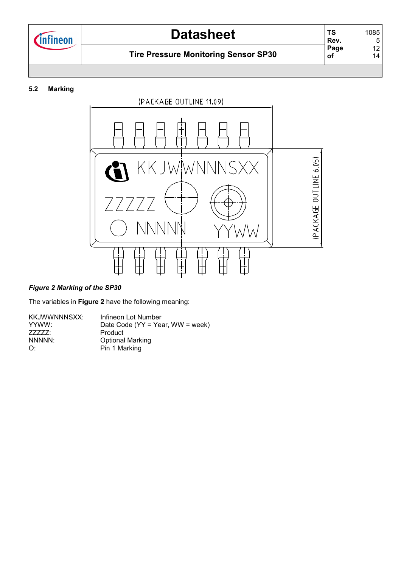

#### **5.2 Marking**



#### *Figure 2 Marking of the SP30*

The variables in **Figure 2** have the following meaning:

| KKJWWNNNSXX: | Infineon Lot Number              |
|--------------|----------------------------------|
| YYWW:        | Date Code (YY = Year, WW = week) |
| 77777:       | Product                          |
| NNNNN:       | <b>Optional Marking</b>          |
| O:           | Pin 1 Marking                    |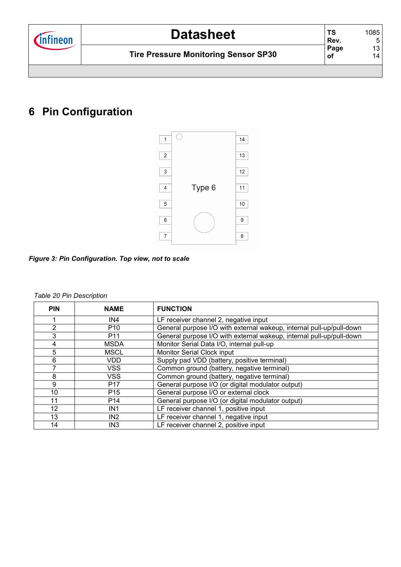## **6 Pin Configuration**



*Figure 3: Pin Configuration. Top view, not to scale* 

| <b>PIN</b>      | <b>NAME</b>     | <b>FUNCTION</b>                                                      |
|-----------------|-----------------|----------------------------------------------------------------------|
|                 | IN4             | LF receiver channel 2, negative input                                |
| 2               | P <sub>10</sub> | General purpose I/O with external wakeup, internal pull-up/pull-down |
| 3               | P <sub>11</sub> | General purpose I/O with external wakeup, internal pull-up/pull-down |
| 4               | <b>MSDA</b>     | Monitor Serial Data I/O, internal pull-up                            |
| 5               | <b>MSCL</b>     | <b>Monitor Serial Clock input</b>                                    |
| 6               | VDD.            | Supply pad VDD (battery, positive terminal)                          |
| 7               | VSS             | Common ground (battery, negative terminal)                           |
| 8               | <b>VSS</b>      | Common ground (battery, negative terminal)                           |
| 9               | P <sub>17</sub> | General purpose I/O (or digital modulator output)                    |
| 10 <sup>1</sup> | P <sub>15</sub> | General purpose I/O or external clock                                |
| 11              | P <sub>14</sub> | General purpose I/O (or digital modulator output)                    |
| 12              | IN <sub>1</sub> | LF receiver channel 1, positive input                                |
| 13              | IN <sub>2</sub> | LF receiver channel 1, negative input                                |
| 14              | IN <sub>3</sub> | LF receiver channel 2, positive input                                |